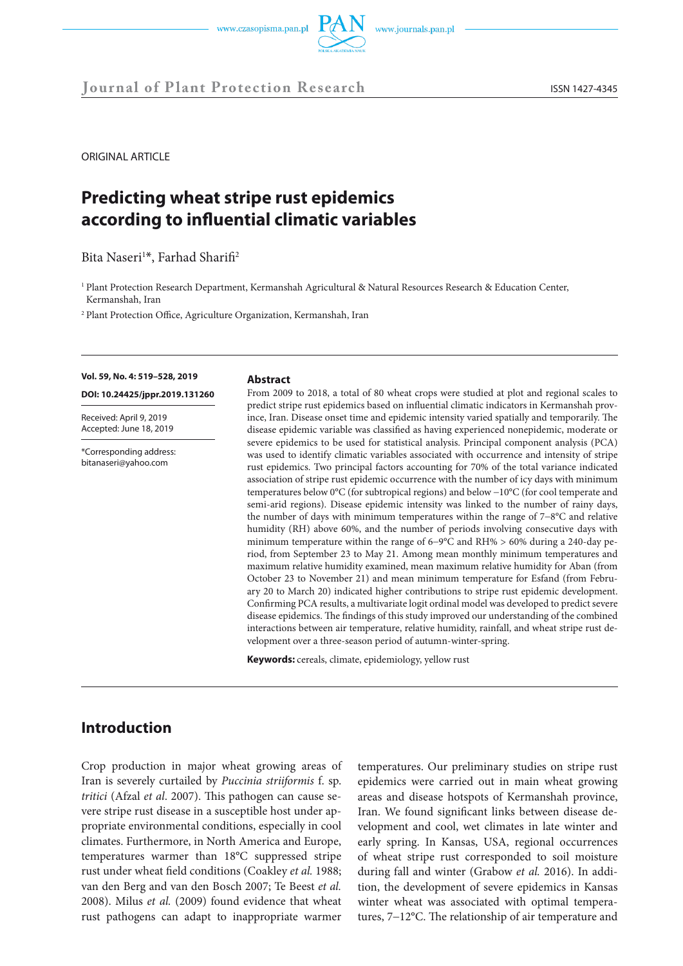**Journal of Plant Protection Research** ISSN 1427-4345

ORIGINAL ARTICLE

# **Predicting wheat stripe rust epidemics according to influential climatic variables**

Bita Naseri<sup>1\*</sup>, Farhad Sharifi<sup>2</sup>

<sup>1</sup> Plant Protection Research Department, Kermanshah Agricultural & Natural Resources Research & Education Center, Kermanshah, Iran

2 Plant Protection Office, Agriculture Organization, Kermanshah, Iran

#### **Vol. 59, No. 4: 519–528, 2019**

**DOI: 10.24425/jppr.2019.131260**

Received: April 9, 2019 Accepted: June 18, 2019

\*Corresponding address: bitanaseri@yahoo.com

#### **Abstract**

From 2009 to 2018, a total of 80 wheat crops were studied at plot and regional scales to predict stripe rust epidemics based on influential climatic indicators in Kermanshah province, Iran. Disease onset time and epidemic intensity varied spatially and temporarily. The disease epidemic variable was classified as having experienced nonepidemic, moderate or severe epidemics to be used for statistical analysis. Principal component analysis (PCA) was used to identify climatic variables associated with occurrence and intensity of stripe rust epidemics. Two principal factors accounting for 70% of the total variance indicated association of stripe rust epidemic occurrence with the number of icy days with minimum temperatures below 0°C (for subtropical regions) and below −10°C (for cool temperate and semi-arid regions). Disease epidemic intensity was linked to the number of rainy days, the number of days with minimum temperatures within the range of 7−8°C and relative humidity (RH) above 60%, and the number of periods involving consecutive days with minimum temperature within the range of 6−9°C and RH% > 60% during a 240-day period, from September 23 to May 21. Among mean monthly minimum temperatures and maximum relative humidity examined, mean maximum relative humidity for Aban (from October 23 to November 21) and mean minimum temperature for Esfand (from February 20 to March 20) indicated higher contributions to stripe rust epidemic development. Confirming PCA results, a multivariate logit ordinal model was developed to predict severe disease epidemics. The findings of this study improved our understanding of the combined interactions between air temperature, relative humidity, rainfall, and wheat stripe rust development over a three-season period of autumn-winter-spring.

**Keywords:** cereals, climate, epidemiology, yellow rust

# **Introduction**

Crop production in major wheat growing areas of Iran is severely curtailed by *Puccinia striiformis* f. sp. *tritici* (Afzal *et al*. 2007). This pathogen can cause severe stripe rust disease in a susceptible host under appropriate environmental conditions, especially in cool climates. Furthermore, in North America and Europe, temperatures warmer than 18°C suppressed stripe rust under wheat field conditions (Coakley *et al.* 1988; van den Berg and van den Bosch 2007; Te Beest *et al.* 2008). Milus *et al.* (2009) found evidence that wheat rust pathogens can adapt to inappropriate warmer

temperatures. Our preliminary studies on stripe rust epidemics were carried out in main wheat growing areas and disease hotspots of Kermanshah province, Iran. We found significant links between disease development and cool, wet climates in late winter and early spring. In Kansas, USA, regional occurrences of wheat stripe rust corresponded to soil moisture during fall and winter (Grabow *et al.* 2016). In addition, the development of severe epidemics in Kansas winter wheat was associated with optimal temperatures, 7−12°C. The relationship of air temperature and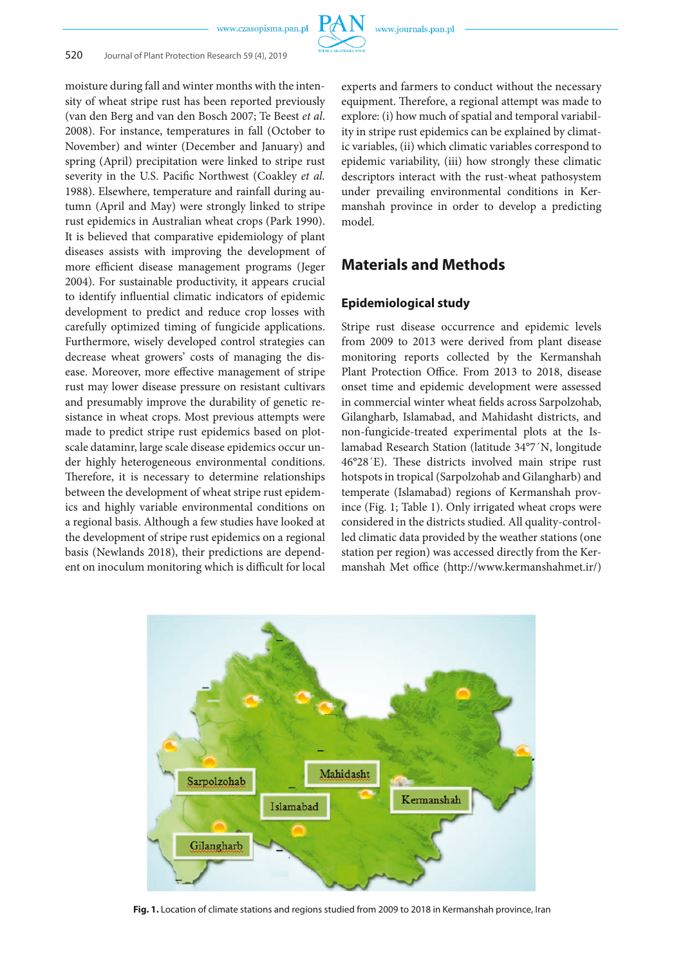

moisture during fall and winter months with the intensity of wheat stripe rust has been reported previously (van den Berg and van den Bosch 2007; Te Beest *et al*. 2008). For instance, temperatures in fall (October to November) and winter (December and January) and spring (April) precipitation were linked to stripe rust severity in the U.S. Pacific Northwest (Coakley *et al.* 1988). Elsewhere, temperature and rainfall during autumn (April and May) were strongly linked to stripe rust epidemics in Australian wheat crops (Park 1990). It is believed that comparative epidemiology of plant diseases assists with improving the development of more efficient disease management programs (Jeger 2004). For sustainable productivity, it appears crucial to identify influential climatic indicators of epidemic development to predict and reduce crop losses with carefully optimized timing of fungicide applications. Furthermore, wisely developed control strategies can decrease wheat growers' costs of managing the disease. Moreover, more effective management of stripe rust may lower disease pressure on resistant cultivars and presumably improve the durability of genetic resistance in wheat crops. Most previous attempts were made to predict stripe rust epidemics based on plotscale dataminr, large scale disease epidemics occur under highly heterogeneous environmental conditions. Therefore, it is necessary to determine relationships between the development of wheat stripe rust epidemics and highly variable environmental conditions on a regional basis. Although a few studies have looked at the development of stripe rust epidemics on a regional basis (Newlands 2018), their predictions are dependent on inoculum monitoring which is difficult for local

experts and farmers to conduct without the necessary equipment. Therefore, a regional attempt was made to explore: (i) how much of spatial and temporal variability in stripe rust epidemics can be explained by climatic variables, (ii) which climatic variables correspond to epidemic variability, (iii) how strongly these climatic descriptors interact with the rust-wheat pathosystem under prevailing environmental conditions in Kermanshah province in order to develop a predicting model.

# **Materials and Methods**

### **Epidemiological study**

Stripe rust disease occurrence and epidemic levels from 2009 to 2013 were derived from plant disease monitoring reports collected by the Kermanshah Plant Protection Office. From 2013 to 2018, disease onset time and epidemic development were assessed in commercial winter wheat fields across Sarpolzohab, Gilangharb, Islamabad, and Mahidasht districts, and non-fungicide-treated experimental plots at the Islamabad Research Station (latitude 34°7´N, longitude 46°28´E). These districts involved main stripe rust hotspots in tropical (Sarpolzohab and Gilangharb) and temperate (Islamabad) regions of Kermanshah province (Fig. 1; Table 1). Only irrigated wheat crops were considered in the districts studied. All quality-controlled climatic data provided by the weather stations (one station per region) was accessed directly from the Kermanshah Met office (http://www.kermanshahmet.ir/)



**Fig. 1.** Location of climate stations and regions studied from 2009 to 2018 in Kermanshah province, Iran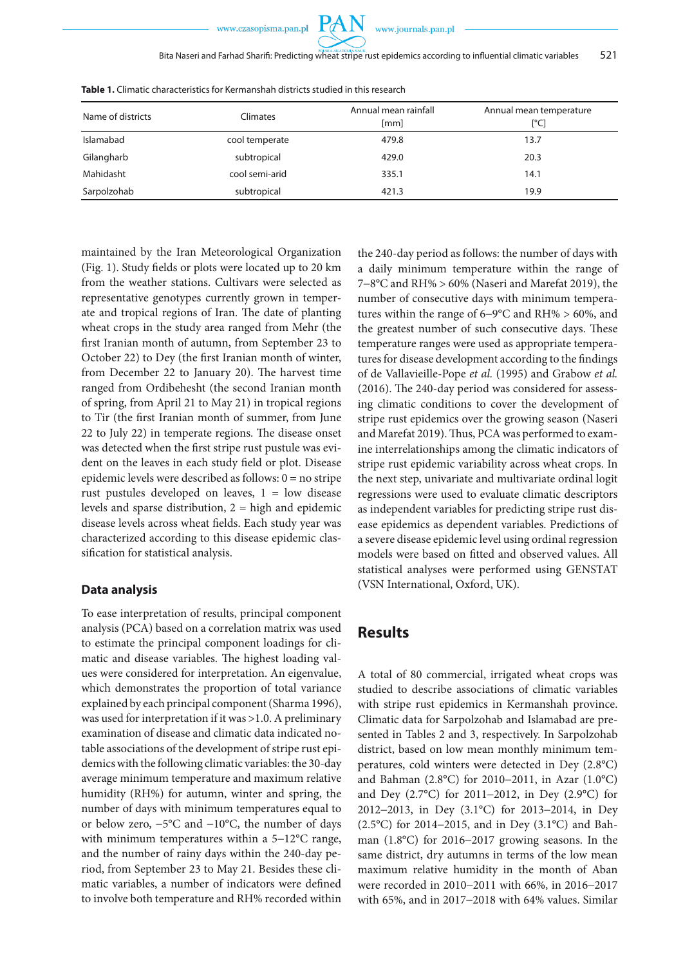

| Name of districts | Climates       | Annual mean rainfall<br>[mm] | Annual mean temperature<br>[°C] |
|-------------------|----------------|------------------------------|---------------------------------|
| Islamabad         | cool temperate | 479.8                        | 13.7                            |
| Gilangharb        | subtropical    | 429.0                        | 20.3                            |
| Mahidasht         | cool semi-arid | 335.1                        | 14.1                            |
| Sarpolzohab       | subtropical    | 421.3                        | 19.9                            |

**Table 1.** Climatic characteristics for Kermanshah districts studied in this research

maintained by the Iran Meteorological Organization (Fig. 1). Study fields or plots were located up to 20 km from the weather stations. Cultivars were selected as representative genotypes currently grown in temperate and tropical regions of Iran. The date of planting wheat crops in the study area ranged from Mehr (the first Iranian month of autumn, from September 23 to October 22) to Dey (the first Iranian month of winter, from December 22 to January 20). The harvest time ranged from Ordibehesht (the second Iranian month of spring, from April 21 to May 21) in tropical regions to Tir (the first Iranian month of summer, from June 22 to July 22) in temperate regions. The disease onset was detected when the first stripe rust pustule was evident on the leaves in each study field or plot. Disease epidemic levels were described as follows: 0 = no stripe rust pustules developed on leaves, 1 = low disease levels and sparse distribution, 2 = high and epidemic disease levels across wheat fields. Each study year was characterized according to this disease epidemic classification for statistical analysis.

### **Data analysis**

To ease interpretation of results, principal component analysis (PCA) based on a correlation matrix was used to estimate the principal component loadings for climatic and disease variables. The highest loading values were considered for interpretation. An eigenvalue, which demonstrates the proportion of total variance explained by each principal component (Sharma 1996), was used for interpretation if it was >1.0. A preliminary examination of disease and climatic data indicated notable associations of the development of stripe rust epidemics with the following climatic variables: the 30-day average minimum temperature and maximum relative humidity (RH%) for autumn, winter and spring, the number of days with minimum temperatures equal to or below zero, −5°C and −10°C, the number of days with minimum temperatures within a 5−12°C range, and the number of rainy days within the 240-day period, from September 23 to May 21. Besides these climatic variables, a number of indicators were defined to involve both temperature and RH% recorded within the 240-day period as follows: the number of days with a daily minimum temperature within the range of 7−8°C and RH% > 60% (Naseri and Marefat 2019), the number of consecutive days with minimum temperatures within the range of 6−9°C and RH% > 60%, and the greatest number of such consecutive days. These temperature ranges were used as appropriate temperatures for disease development according to the findings of de Vallavieille-Pope *et al.* (1995) and Grabow *et al.* (2016). The 240-day period was considered for assessing climatic conditions to cover the development of stripe rust epidemics over the growing season (Naseri and Marefat 2019). Thus, PCA was performed to examine interrelationships among the climatic indicators of stripe rust epidemic variability across wheat crops. In the next step, univariate and multivariate ordinal logit regressions were used to evaluate climatic descriptors as independent variables for predicting stripe rust disease epidemics as dependent variables. Predictions of a severe disease epidemic level using ordinal regression models were based on fitted and observed values. All statistical analyses were performed using GENSTAT (VSN International, Oxford, UK).

### **Results**

A total of 80 commercial, irrigated wheat crops was studied to describe associations of climatic variables with stripe rust epidemics in Kermanshah province. Climatic data for Sarpolzohab and Islamabad are presented in Tables 2 and 3, respectively. In Sarpolzohab district, based on low mean monthly minimum temperatures, cold winters were detected in Dey (2.8°C) and Bahman (2.8°C) for 2010−2011, in Azar (1.0°C) and Dey (2.7°C) for 2011−2012, in Dey (2.9°C) for 2012−2013, in Dey (3.1°C) for 2013−2014, in Dey (2.5°C) for 2014−2015, and in Dey (3.1°C) and Bahman (1.8°C) for 2016−2017 growing seasons. In the same district, dry autumns in terms of the low mean maximum relative humidity in the month of Aban were recorded in 2010−2011 with 66%, in 2016−2017 with 65%, and in 2017−2018 with 64% values. Similar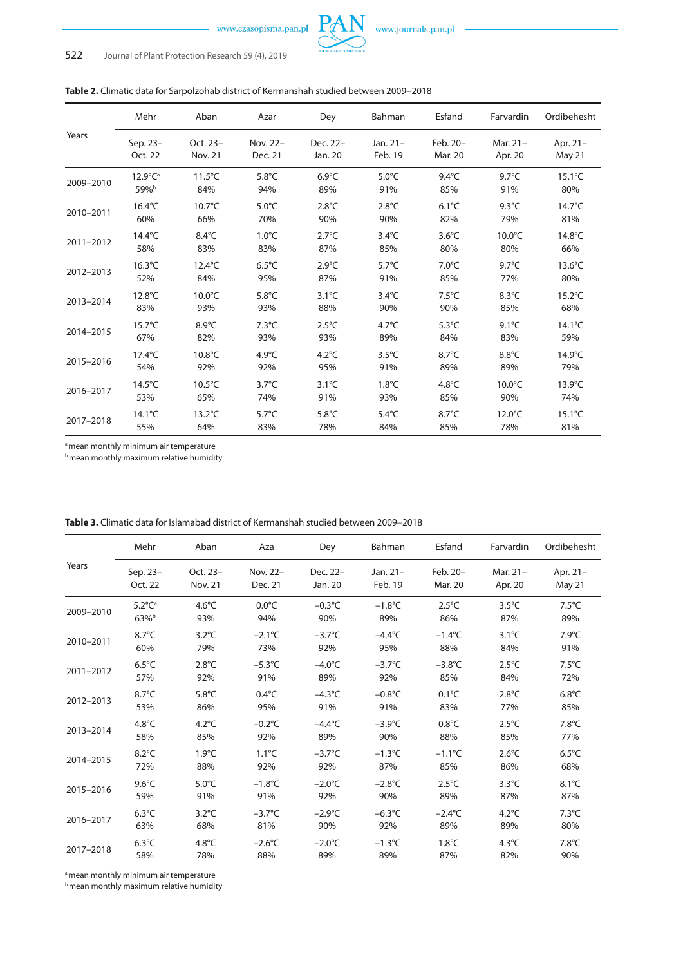

|           | Mehr                    | Aban             | Azar            | Dey             | Bahman          | Esfand          | Farvardin        | Ordibehesht      |
|-----------|-------------------------|------------------|-----------------|-----------------|-----------------|-----------------|------------------|------------------|
| Years     | Sep. 23-                | Oct. 23-         | Nov. 22-        | Dec. 22-        | Jan. 21-        | Feb. 20-        | Mar. 21-         | Apr. 21-         |
|           | Oct. 22                 | Nov. 21          | Dec. 21         | Jan. 20         | Feb. 19         | Mar. 20         | Apr. 20          | May 21           |
| 2009-2010 | $12.9^{\circ}C^{\circ}$ | $11.5^{\circ}$ C | $5.8^{\circ}$ C | $6.9^{\circ}$ C | $5.0^{\circ}$ C | $9.4^{\circ}$ C | $9.7^{\circ}$ C  | $15.1^{\circ}$ C |
|           | 59%b                    | 84%              | 94%             | 89%             | 91%             | 85%             | 91%              | 80%              |
| 2010-2011 | $16.4^{\circ}$ C        | $10.7^{\circ}$ C | $5.0^{\circ}$ C | $2.8^{\circ}$ C | $2.8^{\circ}$ C | $6.1^{\circ}$ C | $9.3^{\circ}$ C  | $14.7^{\circ}$ C |
|           | 60%                     | 66%              | 70%             | 90%             | 90%             | 82%             | 79%              | 81%              |
| 2011-2012 | $14.4^{\circ}$ C        | $8.4^{\circ}$ C  | $1.0^{\circ}$ C | $2.7^{\circ}$ C | $3.4^{\circ}$ C | $3.6^{\circ}$ C | $10.0^{\circ}$ C | 14.8°C           |
|           | 58%                     | 83%              | 83%             | 87%             | 85%             | 80%             | 80%              | 66%              |
| 2012-2013 | $16.3^{\circ}$ C        | $12.4^{\circ}$ C | $6.5^{\circ}$ C | $2.9^{\circ}$ C | $5.7^{\circ}$ C | $7.0^{\circ}$ C | $9.7^{\circ}$ C  | $13.6^{\circ}$ C |
|           | 52%                     | 84%              | 95%             | 87%             | 91%             | 85%             | 77%              | 80%              |
| 2013-2014 | $12.8^{\circ}$ C        | $10.0^{\circ}$ C | $5.8^{\circ}$ C | $3.1^{\circ}$ C | $3.4^{\circ}$ C | $7.5^{\circ}$ C | $8.3^{\circ}$ C  | $15.2^{\circ}$ C |
|           | 83%                     | 93%              | 93%             | 88%             | 90%             | 90%             | 85%              | 68%              |
| 2014-2015 | $15.7^{\circ}$ C        | $8.9^{\circ}$ C  | $7.3^{\circ}$ C | $2.5^{\circ}$ C | $4.7^{\circ}$ C | $5.3^{\circ}$ C | $9.1^{\circ}$ C  | $14.1^{\circ}$ C |
|           | 67%                     | 82%              | 93%             | 93%             | 89%             | 84%             | 83%              | 59%              |
| 2015-2016 | $17.4^{\circ}$ C        | $10.8^{\circ}$ C | $4.9^{\circ}$ C | $4.2^{\circ}$ C | $3.5^{\circ}$ C | $8.7^{\circ}$ C | $8.8^{\circ}$ C  | $14.9^{\circ}$ C |
|           | 54%                     | 92%              | 92%             | 95%             | 91%             | 89%             | 89%              | 79%              |
| 2016-2017 | $14.5^{\circ}$ C        | $10.5^{\circ}$ C | $3.7^{\circ}$ C | $3.1^{\circ}$ C | $1.8^{\circ}$ C | $4.8^{\circ}$ C | $10.0^{\circ}$ C | $13.9^{\circ}$ C |
|           | 53%                     | 65%              | 74%             | 91%             | 93%             | 85%             | 90%              | 74%              |
| 2017-2018 | $14.1^{\circ}$ C        | $13.2^{\circ}$ C | $5.7^{\circ}$ C | $5.8^{\circ}$ C | $5.4^{\circ}$ C | $8.7^{\circ}$ C | $12.0^{\circ}$ C | $15.1^{\circ}$ C |
|           | 55%                     | 64%              | 83%             | 78%             | 84%             | 85%             | 78%              | 81%              |

a mean monthly minimum air temperature

**b** mean monthly maximum relative humidity

|           | Mehr                   | Aban            | Aza              | Dey              | Bahman           | Esfand           | Farvardin       | Ordibehesht     |
|-----------|------------------------|-----------------|------------------|------------------|------------------|------------------|-----------------|-----------------|
| Years     | Sep. 23-               | Oct. 23-        | Nov. 22-         | Dec. 22-         | Jan. $21-$       | Feb. 20-         | Mar. 21-        | Apr. 21-        |
|           | Oct. 22                | Nov. 21         | Dec. 21          | Jan. 20          | Feb. 19          | Mar. 20          | Apr. 20         | May 21          |
| 2009-2010 | $5.2^{\circ}C^{\circ}$ | $4.6^{\circ}$ C | $0.0^{\circ}$ C  | $-0.3$ °C        | $-1.8$ °C        | $2.5^{\circ}$ C  | $3.5^{\circ}$ C | $7.5^{\circ}$ C |
|           | 63% <sup>b</sup>       | 93%             | 94%              | 90%              | 89%              | 86%              | 87%             | 89%             |
| 2010-2011 | $8.7^{\circ}$ C        | $3.2^{\circ}$ C | $-2.1^{\circ}$ C | $-3.7^{\circ}$ C | $-4.4^{\circ}$ C | $-1.4^{\circ}$ C | $3.1^{\circ}$ C | $7.9^{\circ}$ C |
|           | 60%                    | 79%             | 73%              | 92%              | 95%              | 88%              | 84%             | 91%             |
| 2011-2012 | $6.5^{\circ}$ C        | $2.8^{\circ}$ C | $-5.3$ °C        | $-4.0^{\circ}$ C | $-3.7^{\circ}$ C | $-3.8$ °C        | $2.5^{\circ}$ C | $7.5^{\circ}$ C |
|           | 57%                    | 92%             | 91%              | 89%              | 92%              | 85%              | 84%             | 72%             |
| 2012-2013 | $8.7^{\circ}$ C        | $5.8^{\circ}$ C | $0.4^{\circ}$ C  | $-4.3^{\circ}$ C | $-0.8$ °C        | $0.1^{\circ}$ C  | $2.8^{\circ}$ C | $6.8^{\circ}$ C |
|           | 53%                    | 86%             | 95%              | 91%              | 91%              | 83%              | 77%             | 85%             |
| 2013-2014 | $4.8^{\circ}$ C        | $4.2^{\circ}$ C | $-0.2$ °C        | $-4.4^{\circ}$ C | $-3.9^{\circ}$ C | $0.8^{\circ}$ C  | $2.5^{\circ}$ C | $7.8^{\circ}$ C |
|           | 58%                    | 85%             | 92%              | 89%              | 90%              | 88%              | 85%             | 77%             |
| 2014-2015 | $8.2^{\circ}$ C        | $1.9^{\circ}$ C | $1.1^{\circ}$ C  | $-3.7^{\circ}$ C | $-1.3$ °C        | $-1.1^{\circ}$ C | $2.6^{\circ}$ C | $6.5^{\circ}$ C |
|           | 72%                    | 88%             | 92%              | 92%              | 87%              | 85%              | 86%             | 68%             |
| 2015-2016 | $9.6^{\circ}$ C        | $5.0^{\circ}$ C | $-1.8$ °C        | $-2.0^{\circ}$ C | $-2.8^{\circ}$ C | $2.5^{\circ}$ C  | $3.3^{\circ}$ C | $8.1^{\circ}$ C |
|           | 59%                    | 91%             | 91%              | 92%              | 90%              | 89%              | 87%             | 87%             |
| 2016-2017 | $6.3^{\circ}$ C        | $3.2^{\circ}$ C | $-3.7^{\circ}$ C | $-2.9^{\circ}$ C | $-6.3^{\circ}$ C | $-2.4^{\circ}$ C | $4.2^{\circ}$ C | $7.3^{\circ}$ C |
|           | 63%                    | 68%             | 81%              | 90%              | 92%              | 89%              | 89%             | 80%             |
| 2017-2018 | $6.3^{\circ}$ C        | $4.8^{\circ}$ C | $-2.6^{\circ}$ C | $-2.0^{\circ}$ C | $-1.3$ °C        | $1.8^{\circ}$ C  | $4.3^{\circ}$ C | $7.8^{\circ}$ C |
|           | 58%                    | 78%             | 88%              | 89%              | 89%              | 87%              | 82%             | 90%             |

**Table 3.** Climatic data for Islamabad district of Kermanshah studied between 2009−2018

a mean monthly minimum air temperature

**b** mean monthly maximum relative humidity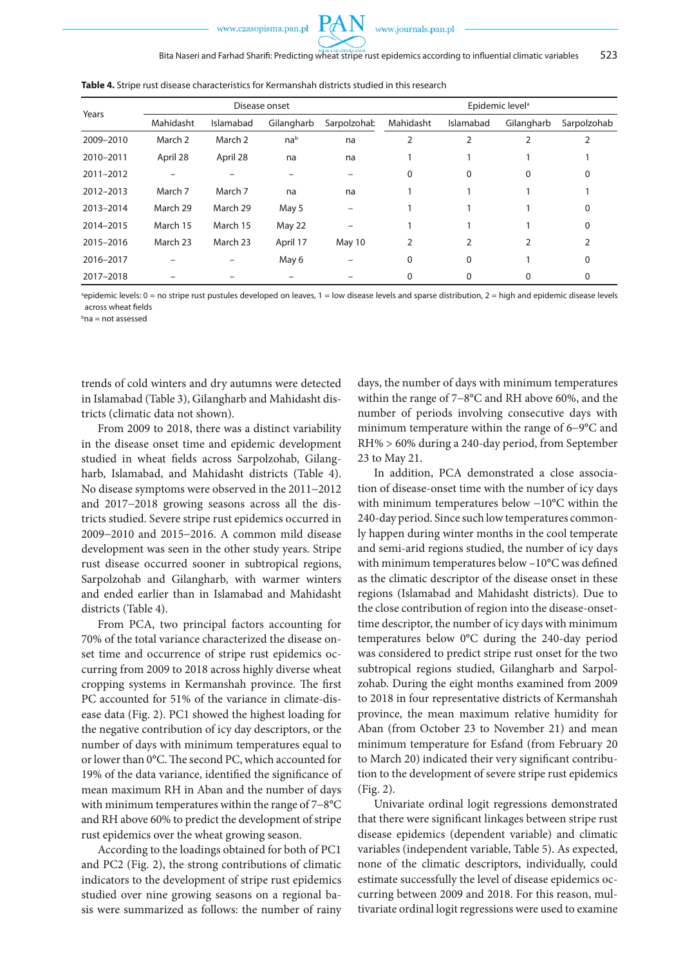

|           |           |           | Disease onset   |             | Epidemic level <sup>a</sup> |           |            |             |
|-----------|-----------|-----------|-----------------|-------------|-----------------------------|-----------|------------|-------------|
| Years     | Mahidasht | Islamabad | Gilangharb      | Sarpolzohab | Mahidasht                   | Islamabad | Gilangharb | Sarpolzohab |
| 2009-2010 | March 2   | March 2   | na <sup>b</sup> | na          | 2                           |           |            |             |
| 2010-2011 | April 28  | April 28  | na              | na          |                             |           |            |             |
| 2011-2012 |           |           |                 |             | 0                           | 0         | 0          | 0           |
| 2012-2013 | March 7   | March 7   | na              | na          |                             |           |            |             |
| 2013-2014 | March 29  | March 29  | May 5           |             |                             |           |            | $\Omega$    |
| 2014-2015 | March 15  | March 15  | May 22          |             |                             |           |            | 0           |
| 2015-2016 | March 23  | March 23  | April 17        | May 10      | 2                           | 2         |            |             |
| 2016-2017 |           |           | May 6           |             | 0                           | 0         |            | 0           |
| 2017-2018 |           |           |                 |             | 0                           | 0         | 0          | 0           |

**Table 4.** Stripe rust disease characteristics for Kermanshah districts studied in this research

a epidemic levels: 0 = no stripe rust pustules developed on leaves, 1 = low disease levels and sparse distribution, 2 = high and epidemic disease levels across wheat fields

b na = not assessed

trends of cold winters and dry autumns were detected in Islamabad (Table 3), Gilangharb and Mahidasht districts (climatic data not shown).

From 2009 to 2018, there was a distinct variability in the disease onset time and epidemic development studied in wheat fields across Sarpolzohab, Gilangharb, Islamabad, and Mahidasht districts (Table 4). No disease symptoms were observed in the 2011−2012 and 2017−2018 growing seasons across all the districts studied. Severe stripe rust epidemics occurred in 2009−2010 and 2015−2016. A common mild disease development was seen in the other study years. Stripe rust disease occurred sooner in subtropical regions, Sarpolzohab and Gilangharb, with warmer winters and ended earlier than in Islamabad and Mahidasht districts (Table 4).

From PCA, two principal factors accounting for 70% of the total variance characterized the disease onset time and occurrence of stripe rust epidemics occurring from 2009 to 2018 across highly diverse wheat cropping systems in Kermanshah province. The first PC accounted for 51% of the variance in climate-disease data (Fig. 2). PC1 showed the highest loading for the negative contribution of icy day descriptors, or the number of days with minimum temperatures equal to or lower than 0°C. The second PC, which accounted for 19% of the data variance, identified the significance of mean maximum RH in Aban and the number of days with minimum temperatures within the range of 7−8°C and RH above 60% to predict the development of stripe rust epidemics over the wheat growing season.

According to the loadings obtained for both of PC1 and PC2 (Fig. 2), the strong contributions of climatic indicators to the development of stripe rust epidemics studied over nine growing seasons on a regional basis were summarized as follows: the number of rainy days, the number of days with minimum temperatures within the range of 7−8°C and RH above 60%, and the number of periods involving consecutive days with minimum temperature within the range of 6−9°C and RH% > 60% during a 240-day period, from September 23 to May 21.

In addition, PCA demonstrated a close association of disease-onset time with the number of icy days with minimum temperatures below −10°C within the 240-day period. Since such low temperatures commonly happen during winter months in the cool temperate and semi-arid regions studied, the number of icy days with minimum temperatures below –10°C was defined as the climatic descriptor of the disease onset in these regions (Islamabad and Mahidasht districts). Due to the close contribution of region into the disease-onsettime descriptor, the number of icy days with minimum temperatures below 0°C during the 240-day period was considered to predict stripe rust onset for the two subtropical regions studied, Gilangharb and Sarpolzohab. During the eight months examined from 2009 to 2018 in four representative districts of Kermanshah province, the mean maximum relative humidity for Aban (from October 23 to November 21) and mean minimum temperature for Esfand (from February 20 to March 20) indicated their very significant contribution to the development of severe stripe rust epidemics (Fig. 2).

Univariate ordinal logit regressions demonstrated that there were significant linkages between stripe rust disease epidemics (dependent variable) and climatic variables (independent variable, Table 5). As expected, none of the climatic descriptors, individually, could estimate successfully the level of disease epidemics occurring between 2009 and 2018. For this reason, multivariate ordinal logit regressions were used to examine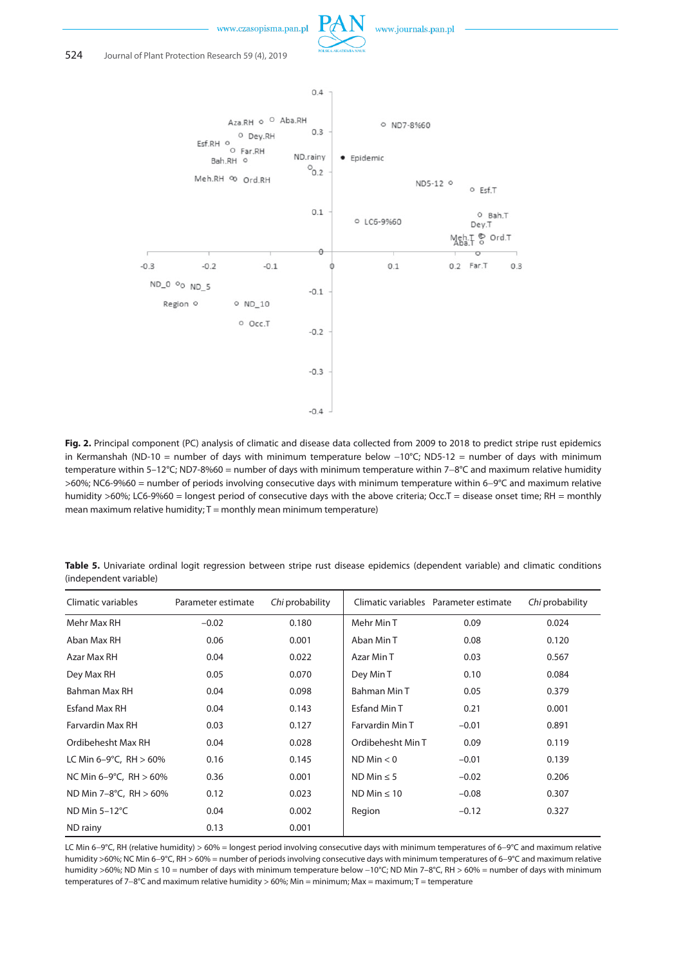





**Fig. 2.** Principal component (PC) analysis of climatic and disease data collected from 2009 to 2018 to predict stripe rust epidemics in Kermanshah (ND-10 = number of days with minimum temperature below −10°C; ND5-12 = number of days with minimum temperature within 5–12°C; ND7-8%60 = number of days with minimum temperature within 7−8°C and maximum relative humidity >60%; NC6-9%60 = number of periods involving consecutive days with minimum temperature within 6−9°C and maximum relative humidity >60%; LC6-9%60 = longest period of consecutive days with the above criteria; Occ.T = disease onset time; RH = monthly mean maximum relative humidity;  $T =$  monthly mean minimum temperature)

**Table 5.** Univariate ordinal logit regression between stripe rust disease epidemics (dependent variable) and climatic conditions (independent variable)

| Climatic variables        | Parameter estimate | Chi probability |                   | Climatic variables Parameter estimate | Chi probability |
|---------------------------|--------------------|-----------------|-------------------|---------------------------------------|-----------------|
| Mehr Max RH               | $-0.02$            | 0.180           | Mehr Min T        | 0.09                                  | 0.024           |
| Aban Max RH               | 0.06               | 0.001           | Aban Min T        | 0.08                                  | 0.120           |
| Azar Max RH               | 0.04               | 0.022           | Azar Min T        | 0.03                                  | 0.567           |
| Dey Max RH                | 0.05               | 0.070           | Dey Min T         | 0.10                                  | 0.084           |
| Bahman Max RH             | 0.04               | 0.098           | Bahman Min T      | 0.05                                  | 0.379           |
| Esfand Max RH             | 0.04               | 0.143           | Esfand Min T      | 0.21                                  | 0.001           |
| Farvardin Max RH          | 0.03               | 0.127           | Farvardin Min T   | $-0.01$                               | 0.891           |
| Ordibehesht Max RH        | 0.04               | 0.028           | Ordibehesht Min T | 0.09                                  | 0.119           |
| LC Min 6-9°C, RH $> 60\%$ | 0.16               | 0.145           | ND Min < 0        | $-0.01$                               | 0.139           |
| NC Min 6-9°C, RH $> 60\%$ | 0.36               | 0.001           | ND Min $\leq$ 5   | $-0.02$                               | 0.206           |
| ND Min 7-8°C, RH > 60%    | 0.12               | 0.023           | $ND Min \leq 10$  | $-0.08$                               | 0.307           |
| ND Min $5-12^{\circ}$ C   | 0.04               | 0.002           | Region            | $-0.12$                               | 0.327           |
| ND rainy                  | 0.13               | 0.001           |                   |                                       |                 |

LC Min 6−9°C, RH (relative humidity) > 60% = longest period involving consecutive days with minimum temperatures of 6−9°C and maximum relative humidity >60%; NC Min 6−9°C, RH > 60% = number of periods involving consecutive days with minimum temperatures of 6−9°C and maximum relative humidity >60%; ND Min ≤ 10 = number of days with minimum temperature below −10°C; ND Min 7–8°C, RH > 60% = number of days with minimum temperatures of 7−8°C and maximum relative humidity > 60%; Min = minimum; Max = maximum; T = temperature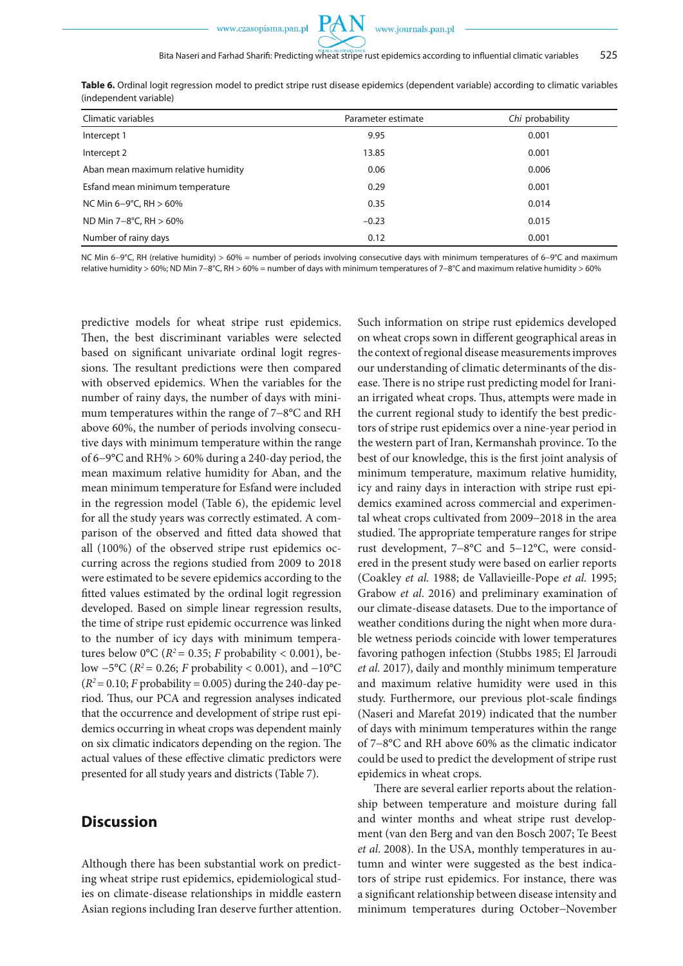

| Climatic variables                  | Parameter estimate | Chi probability |
|-------------------------------------|--------------------|-----------------|
| Intercept 1                         | 9.95               | 0.001           |
| Intercept 2                         | 13.85              | 0.001           |
| Aban mean maximum relative humidity | 0.06               | 0.006           |
| Esfand mean minimum temperature     | 0.29               | 0.001           |
| NC Min 6-9°C, RH $> 60\%$           | 0.35               | 0.014           |
| ND Min 7-8°C, RH $> 60\%$           | $-0.23$            | 0.015           |
| Number of rainy days                | 0.12               | 0.001           |

**Table 6.** Ordinal logit regression model to predict stripe rust disease epidemics (dependent variable) according to climatic variables (independent variable)

NC Min 6−9°C, RH (relative humidity) > 60% = number of periods involving consecutive days with minimum temperatures of 6−9°C and maximum relative humidity > 60%; ND Min 7−8°C, RH > 60% = number of days with minimum temperatures of 7−8°C and maximum relative humidity > 60%

predictive models for wheat stripe rust epidemics. Then, the best discriminant variables were selected based on significant univariate ordinal logit regressions. The resultant predictions were then compared with observed epidemics. When the variables for the number of rainy days, the number of days with minimum temperatures within the range of 7−8°C and RH above 60%, the number of periods involving consecutive days with minimum temperature within the range of 6−9°C and RH% > 60% during a 240-day period, the mean maximum relative humidity for Aban, and the mean minimum temperature for Esfand were included in the regression model (Table 6), the epidemic level for all the study years was correctly estimated. A comparison of the observed and fitted data showed that all (100%) of the observed stripe rust epidemics occurring across the regions studied from 2009 to 2018 were estimated to be severe epidemics according to the fitted values estimated by the ordinal logit regression developed. Based on simple linear regression results, the time of stripe rust epidemic occurrence was linked to the number of icy days with minimum temperatures below 0°C ( $R^2$  = 0.35; *F* probability < 0.001), below −5°C (*R2* = 0.26; *F* probability < 0.001), and −10°C  $(R^2 = 0.10; F$  probability = 0.005) during the 240-day period. Thus, our PCA and regression analyses indicated that the occurrence and development of stripe rust epidemics occurring in wheat crops was dependent mainly on six climatic indicators depending on the region. The actual values of these effective climatic predictors were presented for all study years and districts (Table 7).

# **Discussion**

Although there has been substantial work on predicting wheat stripe rust epidemics, epidemiological studies on climate-disease relationships in middle eastern Asian regions including Iran deserve further attention. Such information on stripe rust epidemics developed on wheat crops sown in different geographical areas in the context of regional disease measurements improves our understanding of climatic determinants of the disease. There is no stripe rust predicting model for Iranian irrigated wheat crops. Thus, attempts were made in the current regional study to identify the best predictors of stripe rust epidemics over a nine-year period in the western part of Iran, Kermanshah province. To the best of our knowledge, this is the first joint analysis of minimum temperature, maximum relative humidity, icy and rainy days in interaction with stripe rust epidemics examined across commercial and experimental wheat crops cultivated from 2009−2018 in the area studied. The appropriate temperature ranges for stripe rust development, 7−8°C and 5−12°C, were considered in the present study were based on earlier reports (Coakley *et al.* 1988; de Vallavieille-Pope *et al.* 1995; Grabow *et al*. 2016) and preliminary examination of our climate-disease datasets. Due to the importance of weather conditions during the night when more durable wetness periods coincide with lower temperatures favoring pathogen infection (Stubbs 1985; El Jarroudi *et al.* 2017), daily and monthly minimum temperature and maximum relative humidity were used in this study. Furthermore, our previous plot-scale findings (Naseri and Marefat 2019) indicated that the number of days with minimum temperatures within the range of 7−8°C and RH above 60% as the climatic indicator could be used to predict the development of stripe rust epidemics in wheat crops.

There are several earlier reports about the relationship between temperature and moisture during fall and winter months and wheat stripe rust development (van den Berg and van den Bosch 2007; Te Beest *et al*. 2008). In the USA, monthly temperatures in autumn and winter were suggested as the best indicators of stripe rust epidemics. For instance, there was a significant relationship between disease intensity and minimum temperatures during October−November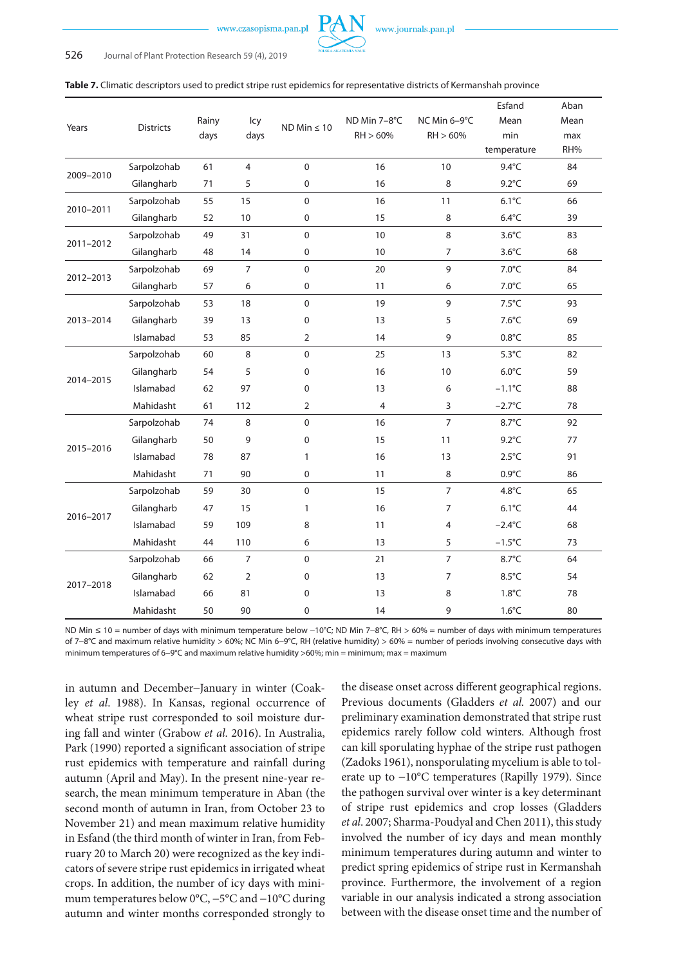

|           |                  |       |                |                  |              |                | Esfand          | Aban |
|-----------|------------------|-------|----------------|------------------|--------------|----------------|-----------------|------|
|           | <b>Districts</b> | Rainy | Icy            | $ND Min \leq 10$ | ND Min 7-8°C | NC Min 6-9°C   | Mean            | Mean |
| Years     |                  | days  | days           |                  | RH > 60%     | RH > 60%       | min             | max  |
|           |                  |       |                |                  |              |                | temperature     | RH%  |
| 2009-2010 | Sarpolzohab      | 61    | 4              | $\mathbf 0$      | 16           | 10             | $9.4^{\circ}$ C | 84   |
|           | Gilangharb       | 71    | 5              | $\pmb{0}$        | 16           | 8              | $9.2^{\circ}$ C | 69   |
| 2010-2011 | Sarpolzohab      | 55    | 15             | $\mathbf{0}$     | 16           | 11             | $6.1^{\circ}$ C | 66   |
|           | Gilangharb       | 52    | 10             | 0                | 15           | 8              | $6.4^{\circ}$ C | 39   |
| 2011-2012 | Sarpolzohab      | 49    | 31             | $\mathbf{0}$     | 10           | 8              | $3.6^{\circ}$ C | 83   |
|           | Gilangharb       | 48    | 14             | 0                | 10           | $\overline{7}$ | $3.6^{\circ}$ C | 68   |
| 2012-2013 | Sarpolzohab      | 69    | $\overline{7}$ | $\mathbf 0$      | 20           | 9              | $7.0^{\circ}$ C | 84   |
|           | Gilangharb       | 57    | 6              | $\pmb{0}$        | 11           | 6              | $7.0^{\circ}$ C | 65   |
| 2013-2014 | Sarpolzohab      | 53    | 18             | $\mathbf 0$      | 19           | 9              | $7.5^{\circ}$ C | 93   |
|           | Gilangharb       | 39    | 13             | $\pmb{0}$        | 13           | 5              | $7.6^{\circ}$ C | 69   |
|           | Islamabad        | 53    | 85             | $\overline{2}$   | 14           | 9              | $0.8^{\circ}$ C | 85   |
|           | Sarpolzohab      | 60    | 8              | $\mathbf 0$      | 25           | 13             | $5.3^{\circ}$ C | 82   |
| 2014-2015 | Gilangharb       | 54    | 5              | $\mathbf 0$      | 16           | 10             | $6.0^{\circ}$ C | 59   |
|           | Islamabad        | 62    | 97             | $\mathbf 0$      | 13           | 6              | $-1.1^{\circ}C$ | 88   |
|           | Mahidasht        | 61    | 112            | $\overline{2}$   | 4            | 3              | $-2.7^{\circ}C$ | 78   |
|           | Sarpolzohab      | 74    | 8              | $\mathbf{0}$     | 16           | $\overline{7}$ | $8.7^{\circ}$ C | 92   |
|           | Gilangharb       | 50    | 9              | 0                | 15           | 11             | $9.2^{\circ}$ C | 77   |
| 2015-2016 | Islamabad        | 78    | 87             | $\mathbf{1}$     | 16           | 13             | $2.5^{\circ}$ C | 91   |
|           | Mahidasht        | 71    | 90             | $\pmb{0}$        | 11           | 8              | $0.9^{\circ}$ C | 86   |
|           | Sarpolzohab      | 59    | 30             | $\mathbf 0$      | 15           | $\overline{7}$ | $4.8^{\circ}$ C | 65   |
| 2016-2017 | Gilangharb       | 47    | 15             | 1                | 16           | $\overline{7}$ | $6.1^{\circ}$ C | 44   |
|           | Islamabad        | 59    | 109            | 8                | 11           | 4              | $-2.4^{\circ}C$ | 68   |
|           | Mahidasht        | 44    | 110            | 6                | 13           | 5              | $-1.5^{\circ}C$ | 73   |
|           | Sarpolzohab      | 66    | 7              | $\mathbf 0$      | 21           | $\overline{7}$ | 8.7°C           | 64   |
|           | Gilangharb       | 62    | $\overline{2}$ | $\Omega$         | 13           | $\overline{7}$ | $8.5^{\circ}$ C | 54   |
| 2017-2018 | Islamabad        | 66    | 81             | 0                | 13           | 8              | $1.8^{\circ}$ C | 78   |
|           | Mahidasht        | 50    | 90             | $\mathbf 0$      | 14           | 9              | $1.6^{\circ}$ C | 80   |

ND Min ≤ 10 = number of days with minimum temperature below −10°C; ND Min 7−8°C, RH > 60% = number of days with minimum temperatures of 7−8°C and maximum relative humidity > 60%; NC Min 6−9°C, RH (relative humidity) > 60% = number of periods involving consecutive days with minimum temperatures of 6−9°C and maximum relative humidity >60%; min = minimum; max = maximum

in autumn and December−January in winter (Coakley *et al*. 1988). In Kansas, regional occurrence of wheat stripe rust corresponded to soil moisture during fall and winter (Grabow *et al*. 2016). In Australia, Park (1990) reported a significant association of stripe rust epidemics with temperature and rainfall during autumn (April and May). In the present nine-year research, the mean minimum temperature in Aban (the second month of autumn in Iran, from October 23 to November 21) and mean maximum relative humidity in Esfand (the third month of winter in Iran, from February 20 to March 20) were recognized as the key indicators of severe stripe rust epidemics in irrigated wheat crops. In addition, the number of icy days with minimum temperatures below 0°C, −5°C and −10°C during autumn and winter months corresponded strongly to

the disease onset across different geographical regions. Previous documents (Gladders *et al.* 2007) and our preliminary examination demonstrated that stripe rust epidemics rarely follow cold winters. Although frost can kill sporulating hyphae of the stripe rust pathogen (Zadoks 1961), nonsporulating mycelium is able to tolerate up to −10°C temperatures (Rapilly 1979). Since the pathogen survival over winter is a key determinant of stripe rust epidemics and crop losses (Gladders *et al*. 2007; Sharma-Poudyal and Chen 2011), this study involved the number of icy days and mean monthly minimum temperatures during autumn and winter to predict spring epidemics of stripe rust in Kermanshah province. Furthermore, the involvement of a region variable in our analysis indicated a strong association between with the disease onset time and the number of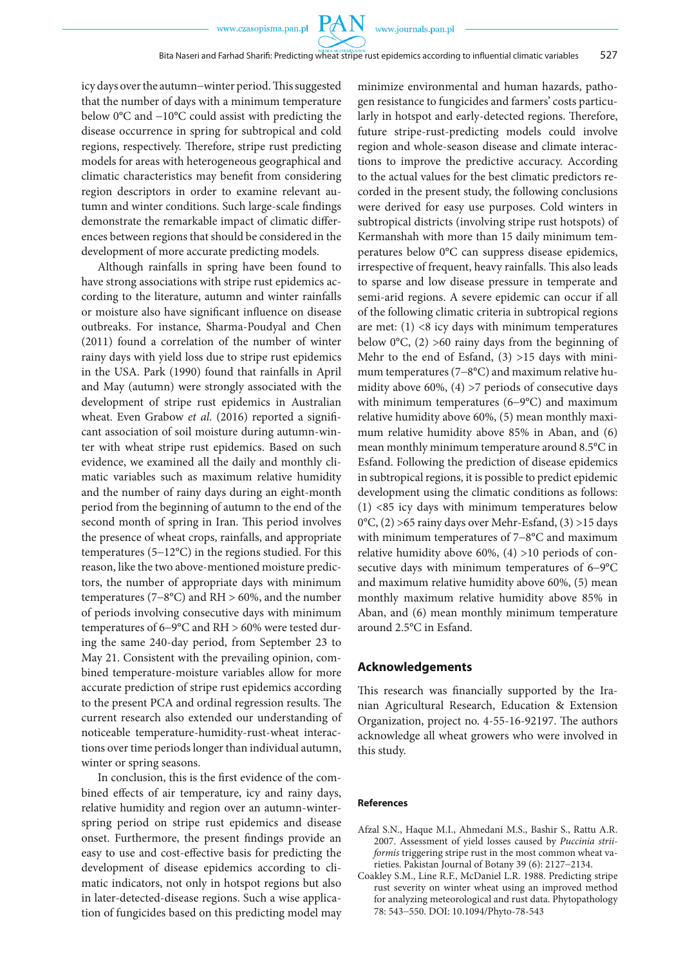PA N

icy days over the autumn−winter period. This suggested that the number of days with a minimum temperature below 0°C and −10°C could assist with predicting the disease occurrence in spring for subtropical and cold regions, respectively. Therefore, stripe rust predicting models for areas with heterogeneous geographical and climatic characteristics may benefit from considering region descriptors in order to examine relevant autumn and winter conditions. Such large-scale findings demonstrate the remarkable impact of climatic differences between regions that should be considered in the development of more accurate predicting models.

Although rainfalls in spring have been found to have strong associations with stripe rust epidemics according to the literature, autumn and winter rainfalls or moisture also have significant influence on disease outbreaks. For instance, Sharma-Poudyal and Chen (2011) found a correlation of the number of winter rainy days with yield loss due to stripe rust epidemics in the USA. Park (1990) found that rainfalls in April and May (autumn) were strongly associated with the development of stripe rust epidemics in Australian wheat. Even Grabow *et al*. (2016) reported a significant association of soil moisture during autumn-winter with wheat stripe rust epidemics. Based on such evidence, we examined all the daily and monthly climatic variables such as maximum relative humidity and the number of rainy days during an eight-month period from the beginning of autumn to the end of the second month of spring in Iran. This period involves the presence of wheat crops, rainfalls, and appropriate temperatures (5−12°C) in the regions studied. For this reason, like the two above-mentioned moisture predictors, the number of appropriate days with minimum temperatures (7−8°C) and RH > 60%, and the number of periods involving consecutive days with minimum temperatures of 6−9°C and RH > 60% were tested during the same 240-day period, from September 23 to May 21. Consistent with the prevailing opinion, combined temperature-moisture variables allow for more accurate prediction of stripe rust epidemics according to the present PCA and ordinal regression results. The current research also extended our understanding of noticeable temperature-humidity-rust-wheat interactions over time periods longer than individual autumn, winter or spring seasons.

In conclusion, this is the first evidence of the combined effects of air temperature, icy and rainy days, relative humidity and region over an autumn-winterspring period on stripe rust epidemics and disease onset. Furthermore, the present findings provide an easy to use and cost-effective basis for predicting the development of disease epidemics according to climatic indicators, not only in hotspot regions but also in later-detected-disease regions. Such a wise application of fungicides based on this predicting model may minimize environmental and human hazards, pathogen resistance to fungicides and farmers' costs particularly in hotspot and early-detected regions. Therefore, future stripe-rust-predicting models could involve region and whole-season disease and climate interactions to improve the predictive accuracy. According to the actual values for the best climatic predictors recorded in the present study, the following conclusions were derived for easy use purposes. Cold winters in subtropical districts (involving stripe rust hotspots) of Kermanshah with more than 15 daily minimum temperatures below 0°C can suppress disease epidemics, irrespective of frequent, heavy rainfalls. This also leads to sparse and low disease pressure in temperate and semi-arid regions. A severe epidemic can occur if all of the following climatic criteria in subtropical regions are met:  $(1)$  <8 icy days with minimum temperatures below  $0^{\circ}$ C, (2) >60 rainy days from the beginning of Mehr to the end of Esfand, (3) >15 days with minimum temperatures (7−8°C) and maximum relative humidity above 60%, (4) >7 periods of consecutive days with minimum temperatures (6−9°C) and maximum relative humidity above 60%, (5) mean monthly maximum relative humidity above 85% in Aban, and (6) mean monthly minimum temperature around 8.5°C in Esfand. Following the prediction of disease epidemics in subtropical regions, it is possible to predict epidemic development using the climatic conditions as follows: (1) <85 icy days with minimum temperatures below 0°C, (2) >65 rainy days over Mehr-Esfand, (3) >15 days with minimum temperatures of 7−8°C and maximum relative humidity above 60%, (4) >10 periods of consecutive days with minimum temperatures of 6−9°C and maximum relative humidity above 60%, (5) mean monthly maximum relative humidity above 85% in Aban, and (6) mean monthly minimum temperature around 2.5°C in Esfand.

### **Acknowledgements**

This research was financially supported by the Iranian Agricultural Research, Education & Extension Organization, project no. 4-55-16-92197. The authors acknowledge all wheat growers who were involved in this study.

#### **References**

- Afzal S.N., Haque M.I., Ahmedani M.S., Bashir S., Rattu A.R. 2007. Assessment of yield losses caused by *Puccinia striiformis* triggering stripe rust in the most common wheat varieties. Pakistan Journal of Botany 39 (6): 2127−2134.
- Coakley S.M., Line R.F., McDaniel L.R. 1988. Predicting stripe rust severity on winter wheat using an improved method for analyzing meteorological and rust data. Phytopathology 78: 543−550. DOI: 10.1094/Phyto-78-543